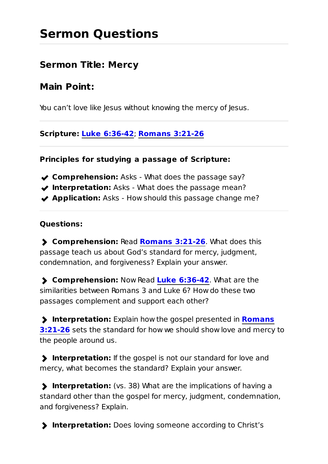# **Sermon Questions**

## **Sermon Title: Mercy**

### **Main Point:**

You can't love like Jesus without knowing the mercy of Jesus.

**Scripture: Luke [6:36-42](https://www.bible.com/bible/59/LUK.6.ESV)**; **[Romans](https://www.bible.com/bible/59/ROM.3.ESV) 3:21-26**

**Principles for studying a passage of Scripture:**

- ◆ **Comprehension:** Asks What does the passage say?
- ◆ Interpretation: Asks What does the passage mean?
- ◆ **Application:** Asks How should this passage change me?

#### **Questions:**

**Comprehension:** Read **[Romans](https://www.bible.com/bible/59/ROM.3.ESV) 3:21-26**. What does this passage teach us about God's standard for mercy, judgment, condemnation, and forgiveness? Explain your answer.

**Comprehension:** Now Read **Luke [6:36-42](https://www.bible.com/bible/59/LUK.6.ESV)**. What are the similarities between Romans 3 and Luke 6? How do these two passages complement and support each other?

**[Interpretation:](https://www.bible.com/bible/59/ROM.3.ESV)** Explain how the gospel presented in **Romans 3:21-26** sets the standard for how we should show love and mercy to the people around us.

**Interpretation:** If the gospel is not our standard for love and mercy, what becomes the standard? Explain your answer.

**Interpretation:** (vs. 38) What are the implications of having a standard other than the gospel for mercy, judgment, condemnation, and forgiveness? Explain.

**Interpretation:** Does loving someone according to Christ's